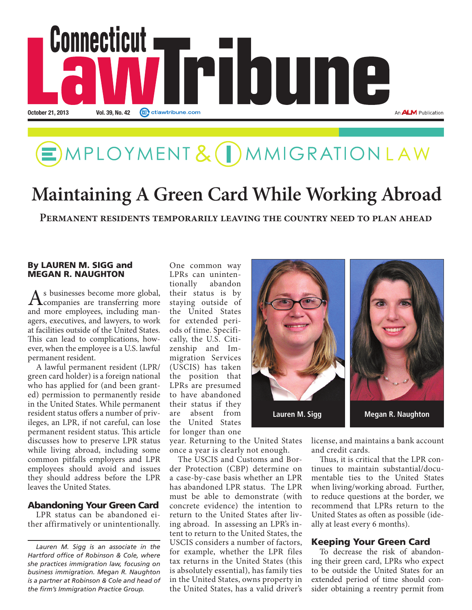

## EMPLOYMENT& (DMMIGRATION LAW

### **Maintaining A Green Card While Working Abroad**

**Permanent residents temporarily leaving the country need to plan ahead** 

#### By LAUREN M. SIGG and MEGAN R. NAUGHTON

As businesses become more global, companies are transferring more and more employees, including managers, executives, and lawyers, to work at facilities outside of the United States. This can lead to complications, however, when the employee is a U.S. lawful permanent resident.

A lawful permanent resident (LPR/ green card holder) is a foreign national who has applied for (and been granted) permission to permanently reside in the United States. While permanent resident status offers a number of privileges, an LPR, if not careful, can lose permanent resident status. This article discusses how to preserve LPR status while living abroad, including some common pitfalls employers and LPR employees should avoid and issues they should address before the LPR leaves the United States.

#### Abandoning Your Green Card

LPR status can be abandoned either affirmatively or unintentionally. One common way LPRs can uninten-<br>tionally abandon abandon their status is by staying outside of the United States for extended periods of time. Specifically, the U.S. Citizenship and Immigration Services (USCIS) has taken the position that LPRs are presumed to have abandoned their status if they are absent from the United States for longer than one

year. Returning to the United States once a year is clearly not enough.

The USCIS and Customs and Border Protection (CBP) determine on a case-by-case basis whether an LPR has abandoned LPR status. The LPR must be able to demonstrate (with concrete evidence) the intention to return to the United States after living abroad. In assessing an LPR's intent to return to the United States, the USCIS considers a number of factors, for example, whether the LPR files tax returns in the United States (this is absolutely essential), has family ties in the United States, owns property in the United States, has a valid driver's



license, and maintains a bank account and credit cards.

Thus, it is critical that the LPR continues to maintain substantial/documentable ties to the United States when living/working abroad. Further, to reduce questions at the border, we recommend that LPRs return to the United States as often as possible (ideally at least every 6 months).

#### Keeping Your Green Card

To decrease the risk of abandoning their green card, LPRs who expect to be outside the United States for an extended period of time should consider obtaining a reentry permit from

*Lauren M. Sigg is an associate in the Hartford office of Robinson & Cole, where she practices immigration law, focusing on business immigration. Megan R. Naughton is a partner at Robinson & Cole and head of the firm's Immigration Practice Group.*